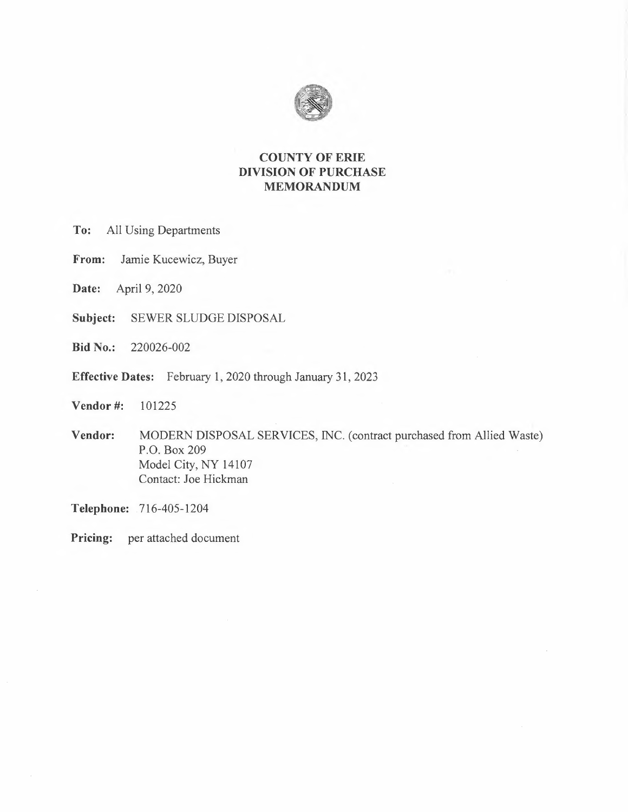

## **COUNTY OF ERIE DIVISION OF PURCHASE MEMORANDUM**

- All Using Departments To:
- Jamie Kucewicz, Buyer From:
- Date: April 9, 2020
- Subject: SEWER SLUDGE DISPOSAL
- **Bid No.:** 220026-002
- Effective Dates: February 1, 2020 through January 31, 2023
- Vendor#: 101225
- Vendor: MODERN DISPOSAL SERVICES, INC. (contract purchased from Allied Waste) P.O. Box 209 Model City, NY 14107 Contact: Joe Hickman

Telephone: 716-405-1204

Pricing: per attached document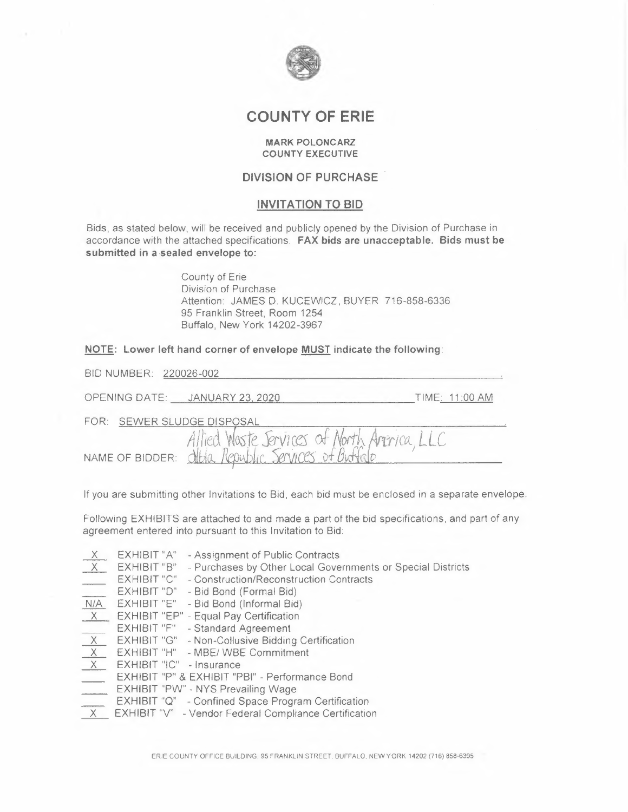

# **COUNTY OF ERIE**

#### **MARK POLONCARZ COUNTY EXECUTIVE**

## **DIVISION OF PURCHASE**

#### **INVITATION TO BID**

Bids, as stated below, will be received and publicly opened by the Division of Purchase in accordance with the attached specifications. FAX bids are unacceptable. Bids must be submitted in a sealed envelope to:

> County of Erie Division of Purchase Attention: JAMES D. KUCEWICZ, BUYER 716-858-6336 95 Franklin Street, Room 1254 Buffalo, New York 14202-3967

#### NOTE: Lower left hand corner of envelope MUST indicate the following:

| BID NUMBER: 220026-002                                                                                |                |
|-------------------------------------------------------------------------------------------------------|----------------|
| OPENING DATE: JANUARY 23, 2020                                                                        | TIME: 11:00 AM |
| FOR: SEWER SLUDGE DISPOSAL                                                                            |                |
| Allied Waste Services of North America, LLC<br>NAME OF BIDDER: Of Bella Republic. Services of Buffalo |                |

If you are submitting other Invitations to Bid, each bid must be enclosed in a separate envelope.

Following EXHIBITS are attached to and made a part of the bid specifications, and part of any agreement entered into pursuant to this Invitation to Bid:

| $\overline{X}$           | EXHIBIT "A"              | - Assignment of Public Contracts                            |
|--------------------------|--------------------------|-------------------------------------------------------------|
| X                        | EXHIBIT "B"              | - Purchases by Other Local Governments or Special Districts |
|                          | EXHIBIT "C"              | - Construction/Reconstruction Contracts                     |
| $\overline{\phantom{a}}$ | EXHIBIT "D"              | - Bid Bond (Formal Bid)                                     |
| N/A                      | EXHIBIT "E"              | - Bid Bond (Informal Bid)                                   |
| X                        |                          | EXHIBIT "EP" - Equal Pay Certification                      |
| $\frac{1}{2}$            | EXHIBIT "F"              | - Standard Agreement                                        |
| X                        | EXHIBIT "G"              | - Non-Collusive Bidding Certification                       |
| X                        | EXHIBIT "H"              | - MBE/ WBE Commitment                                       |
| X                        | EXHIBIT "IC" - Insurance |                                                             |
|                          |                          | EXHIBIT "P" & EXHIBIT "PBI" - Performance Bond              |
| $\overline{a}$           |                          | EXHIBIT "PW" - NYS Prevailing Wage                          |
| $\overline{\phantom{a}}$ |                          | EXHIBIT "Q" - Confined Space Program Certification          |
| $\times$                 |                          | EXHIBIT "V" - Vendor Federal Compliance Certification       |
|                          |                          |                                                             |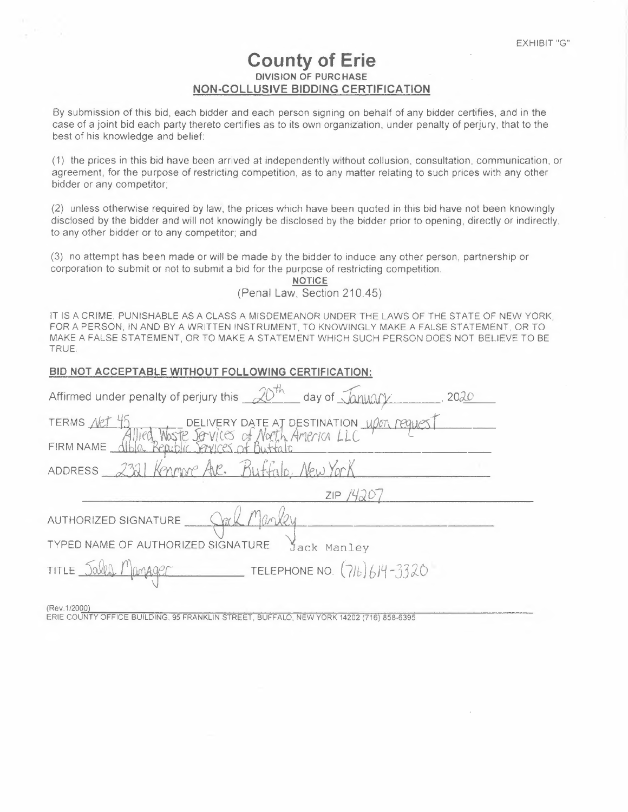# **County of Erie DIVISION OF PURCHASE NON-COLLUSIVE BIDDING CERTIFICATION**

By submission of this bid, each bidder and each person signing on behalf of any bidder certifies, and in the case of a joint bid each party thereto certifies as to its own organization, under penalty of perjury, that to the best of his knowledge and belief:

(1) the prices in this bid have been arrived at independently without collusion, consultation, communication, or agreement, for the purpose of restricting competition, as to any matter relating to such prices with any other bidder or any competitor;

(2) unless otherwise required by law, the prices which have been quoted in this bid have not been knowingly disclosed by the bidder and will not knowingly be disclosed by the bidder prior to opening, directly or indirectly, to any other bidder or to any competitor; and

> **NOTICE**  (Penal Law, Section 210.45)

IT IS A CRIME, PUNISHABLE AS A CLASS A MISDEMEANOR UNDER THE LAWS OF THE STATE OF NEW YORK, FOR A PERSON, IN AND BY A WRITTEN INSTRUMENT, TO KNOWINGLY MAKE A FALSE STATEMENT, OR TO MAKE A FALSE STATEMENT, OR TO MAKE A STATEMENT WHICH SUCH PERSON DOES NOT BELIEVE TO BE

(3) no attempt has been made or will be made by the bidder to induce any other person, partnership or corporation to submit or not to submit a bid for the purpose of restricting competition.

TRUE

| I RUL.                                                                                                   |
|----------------------------------------------------------------------------------------------------------|
| BID NOT ACCEPTABLE WITHOUT FOLLOWING CERTIFICATION:                                                      |
| Affirmed under penalty of perjury this $20th$ day of $\sqrt{20}$<br>2020                                 |
| TERMS Net<br>DELIVERY DATE AT DESTINATION <i>Wen request</i><br>FIRM NAME diblo Real                     |
| 2321 Kennove A.C. Buttalo, New York<br>ADDRESS                                                           |
| $ZIP$ /4                                                                                                 |
| AUTHORIZED SIGNATURE                                                                                     |
| TYPED NAME OF AUTHORIZED SIGNATURE<br>Jack Manley                                                        |
| <b>ELEPHONE NO.</b> $(716)614-3320$<br>TITLE Sales Manager                                               |
| (Rev. 1/2000)<br>ERIE COUNTY OFFICE BUILDING, 95 FRANKLIN STREET, BUFFALO, NEW YORK 14202 (716) 858-6395 |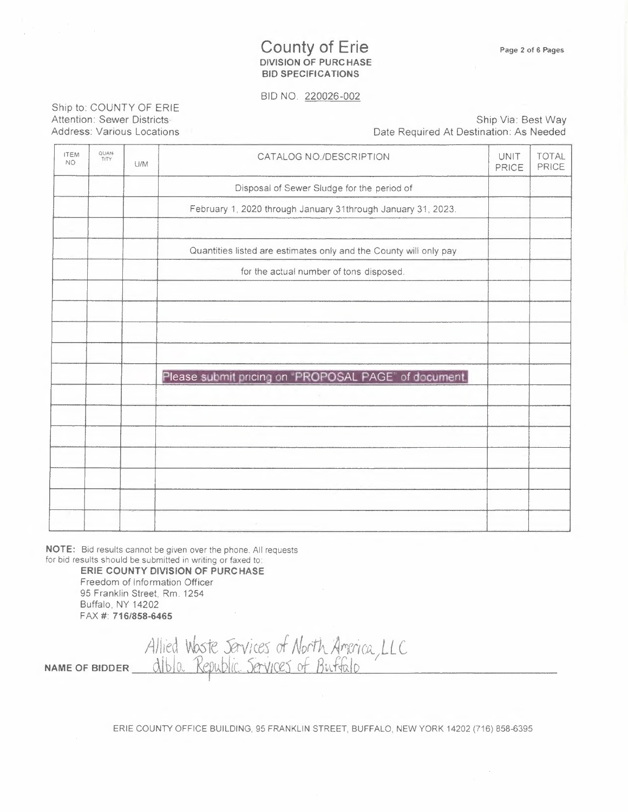## County of Erie **DIVISION OF PURCHASE BID SPECIFICATIONS**

BID NO. 220026-002

Ship to: COUNTY OF ERIE Attention: Sewer Districts Address: Various Locations

Ship Via: Best Way Date Required At Destination: As Needed

| <b>ITEM</b><br>NO. | QUAN<br>TITY | U/M | CATALOG NO./DESCRIPTION                                           | UNIT<br>PRICE | <b>TOTAL</b><br>PRICE |
|--------------------|--------------|-----|-------------------------------------------------------------------|---------------|-----------------------|
|                    |              |     | Disposal of Sewer Sludge for the period of                        |               |                       |
|                    |              |     | February 1, 2020 through January 31through January 31, 2023.      |               |                       |
|                    |              |     | Quantities listed are estimates only and the County will only pay |               |                       |
|                    |              |     | for the actual number of tons disposed.                           |               |                       |
|                    |              |     |                                                                   |               |                       |
|                    |              |     |                                                                   |               |                       |
|                    |              |     |                                                                   |               |                       |
|                    |              |     | Please submit pricing on "PROPOSAL PAGE" of document.             |               |                       |
|                    |              |     |                                                                   |               |                       |
|                    |              |     |                                                                   |               |                       |
|                    |              |     |                                                                   |               |                       |
|                    |              |     |                                                                   |               |                       |
|                    |              |     | the company of                                                    |               |                       |

**NOTE:** Bid results cannot be given over the phone. All requests for bid results should be submitted in writing or faxed *to* 

**ERIE COUNTY DIVISION OF PURCHASE**  Freedom of Information Officer 95 Franklin Street, Rm. 1254 Buffalo, NY 14202 FAA # **716/858-6465** 

*Al I 1ed vb.ste JJ-v ì* ces *of North. AfY'r:rwJ.. LL* <sup>e</sup> NAME OF BIDDER nib/o\_\_ *'Ref u.bite.* Serv,œs *cf 811:F.fulo <sup>I</sup>*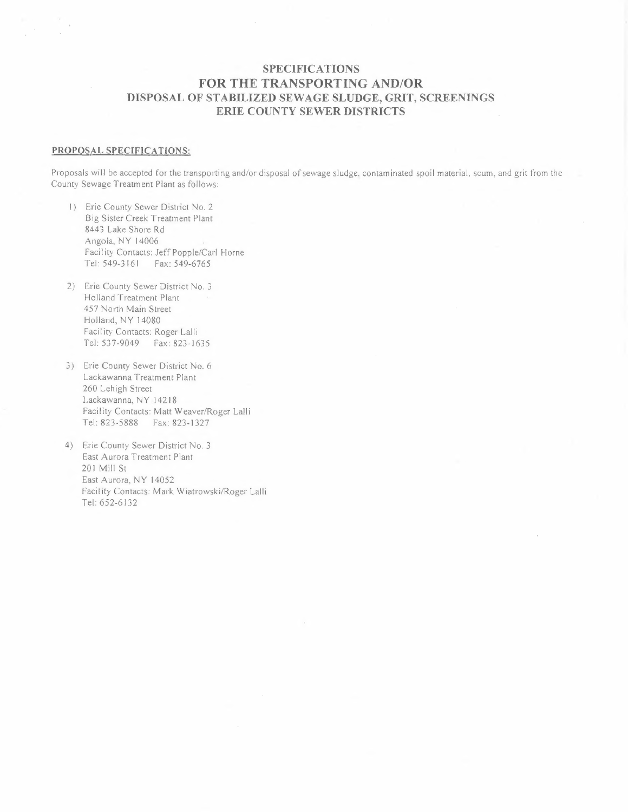## **SPECIFICATIONS FOR THE TRANSPORTING AND/OR DISPOSAL OF STABILIZED SEWAGE SLUDGE, GRIT, SCREENINGS ERIE COUNTY SEWER DISTRICTS**

#### **PROPOSAL SPECIFICATIONS:**

Proposals will be accepted for the transporting and/or disposal of sewage sludge. contaminated spoil material, scum, and grit from the County Sewage Treatment Plant as follows:

- I) Erie County Sewer District No. 2 Big Sister Creek Treatment Plant . 8443 Lake Shore Rd Angola, NY 14006 Facility Contacts: Jeff Popple/Carl Horne Tel: 549-3161 Fax: 549-6765
- 2) Erie County Sewer District No. <sup>3</sup> Holland Treatment Plant 457 North Main Street Holland, NY 14080 Facility Contacts: Roger Lalli Tel: 537-9049 Fax: 823-1635
- 3) Erie County Sewer District No. <sup>6</sup> Lackawanna Treatment Plant 260 Lehigh Street Lackawanna, NY .14218 Facility Contacts: Matt Weaver/Roger Lalli Tel: 823-5888 Fax: 823-1327
- 4) Erie County Sewer District No. <sup>3</sup> East Aurora Treatment Plant 201 Mill St East Aurora, NY 14052 Facility Contacts: Mark Wiatrowski/Roger Lalli Tel: 652-6132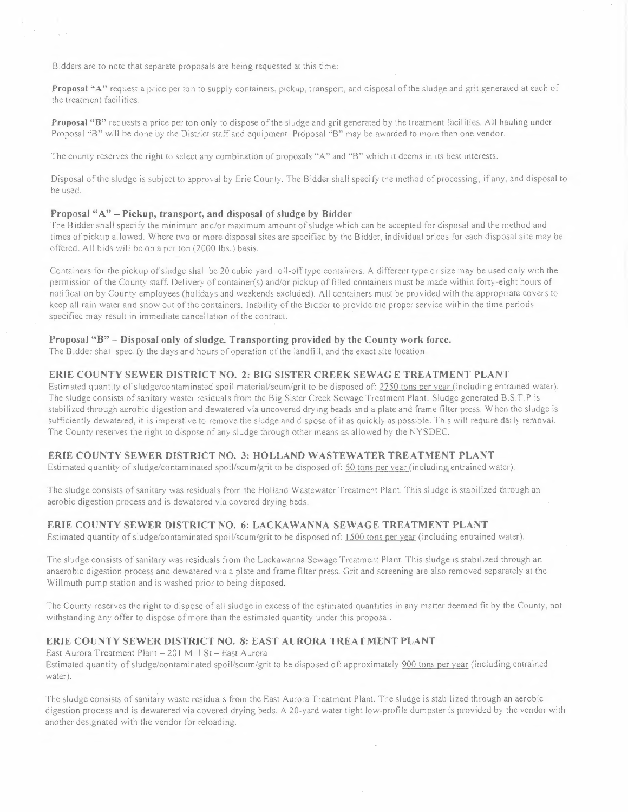Bidders are to note that separate proposals are being requested at this time:

 $\sim$ 

**Proposal "A"** request a price per ton to supply containers, pickup, transport, and disposal ofthe sludge and grit generated at each of the treatment facilities.

**Proposal "B"** requests a price per ton only to dispose of the sludge and grit generated by the treatment facilities. All hauling under Proposal ·'B" will be done by the District staff and equipment. Proposal ·'B" may be awarded to more than one vendor.

The county reserves the right to select any combination of proposals "A" and "B" which it deems in its best interests.

Disposal ofthe sludge is subject to approval by Erie County. The Bidder shall specify the method of processing, if any, and disposal to be used.

#### **Proposal "A" - Pickup, transport, and disposal of sludge by Bidder**

The Bidder shall specify the minimum and/or maximum amount ofsludge which can be accepted for disposal and the method and times of pickup allowed. Where two or more disposal sites are specified by the Bidder, individual prices for each disposal site may be offered. All bids will be on a per ton (2000 lbs.) basis.

Containers for the pickup ofsludge shall be 20 cubic yard roll-off type containers. <sup>A</sup> different type or size may be used only with the permission of the County staff. Delivery of container(s) and/or pickup of filled containers must be made within forty-eight hours of notification by County employees (holidays and weekends excluded). All containers must be provided with the appropriate covers to keep all rain water and snow out of the containers. Inability of the Bidder to provide the proper service within the time periods specified may result in immediate cancellation of the contract.

### **Proposal "B" - Disposal only of sludge. Transporting provided by the County work force.**

The Bidder shall specify the days and hours of operation ofthe landfill, and the exact site location.

#### **ERIE COUNTY SEWER DISTRICT NO. 2: BIG SISTER CREEK SEW AG E TREATMENT PLANT**

Estimated quantity of sludge/contaminated spoil material/scum/grit to be disposed of: 2750 tons per year (including entrained water). The sludge consists of sanitary waster residuals from the Big Sister Creek Sewage Treatment Plant. Sludge generated B.S.T.P is stabilized through aerobic digestion and dewatered via uncovered drying beads and <sup>a</sup> plate and frame filter press. When the sludge is sufficiently dewatered, it is imperative to remove the sludge and dispose of it as quickly as possible. This will require daily removal. The County reserves the right to dispose of any sludge through other means as allowed by the NYSDEC.

#### **ERlE COUNTY SEWER DISTRICT NO. 3: HOLLAND WASTEWATER TREATMENT PLANT**

Estimated quantity of sludge/contaminated spoil/scum/grit to be disposed of: 50 tons per year (including entrained water).

The sludge consists of sanitary was residuals from the Holland Wastewater Treatment Plant. This sludge is stabilized through an aerobic digestion process and is dewatered via covered drying beds.

#### **ERIE COUNTY SEWER DISTRICT NO. 6: LACKAWANNA SEWAGE TREATMENT PLANT**

Estimated quantity of sludge/contaminated spoil/scum/grit to be disposed of: 1500 tons per year (including entrained water).

The sludge consists of sanitary was residuals from the Lackawanna Sewage Treatment Plant. This sludge is stabilized through an anaerobic digestion process and dewatered via a plate and frame filter press. Grit and screening are also removed separately at the Willmuth pump station and is washed prior to being disposed.

The County reserves the right to dispose of all sludge in excess of the estimated quantities in any matter deemed fit by the County, not withstanding any offer to dispose of more than the estimated quantity under this proposal.

#### **ERIE COUNTY SEWER DISTRICT NO. 8: EAST AURORA TREAT MENT PLANT**

East Aurora Treatment Plant - 201 Mill St - East Aurora Estimated quantity ofsludge/contaminated spoil/scum/grit to be disposed of: approximately 900 tons per year (including entrained water).

The sludge consists ofsanitary waste residuals from the East Aurora Treatment Plant. The sludge is stabilized through an aerobic digestion process and is dewatered via covered drying beds. <sup>A</sup> 20-yard water tight low-profile dumpster is provided by the vendor with another designated with the vendor for reloading.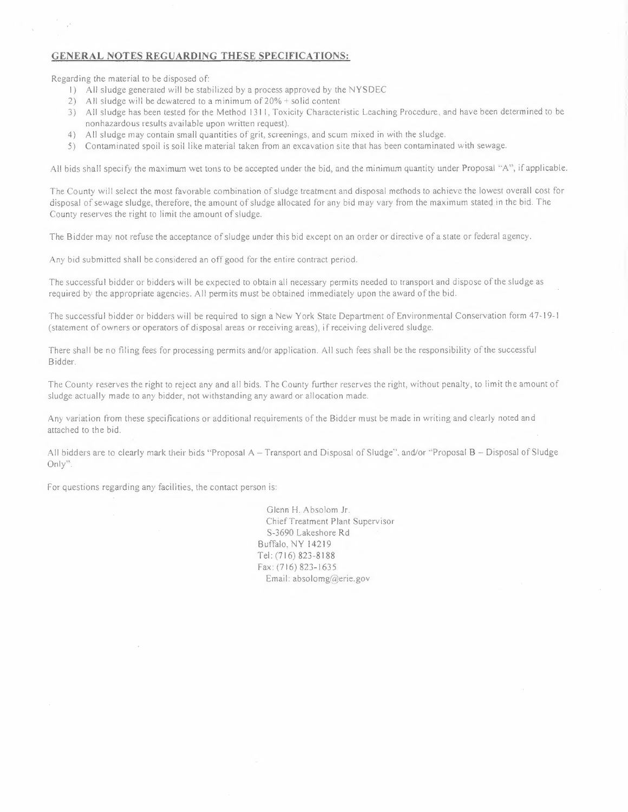#### **GENERAL NOTES REGUARDING THESE SPECIFICATIONS:**

Regarding the material to be disposed of:

- I) All sludge generated will be stabilized by a process approved by the NYSDEC
- 2) All sludge will be dewatered to a minimum of 20% + solid content
- 3) All sludge has been tested for the Method 1311, Toxicity Characteristic Leaching Procedure, and have been determined to be nonhazardous results available upon written request).
- 4) All sludge may contain small quantities of grit, screenings, and scum mixed in with the sludge.
- 5) Contaminated spoil is soil like material taken from an excavation site that has been contaminated with sewage.

All bids shall specify the maximum wet tons to be accepted under the bid, and the minimum quantity under Proposal '·A", if applicable.

The County will select the most favorable combination of sludge treatment and disposal methods to achieve the lowest overall cost for disposal of sewage sludge, therefore, the amount of sludge allocated for any bid may vary from the maximum stated in the bid. The County reserves the right to limit the amount of sludge.

The Bidder may not refuse the acceptance of sludge under this bid except on an order or directive of a state or federal agency.

Any bid submitted shall be considered an off good for the entire contract period.

The successful bidder or bidders will be expected to obtain all necessary permits needed to transport and dispose of the sludge as required by the appropriate agencies. All permits must be obtained immediately upon the award of the bid.

The successful bidder or bidders will be required to sign a New York State Department of Environmental Conservation form 47-19-1 (statement of owners or operators of disposal areas or receiving areas), if receiving delivered sludge.

There shall be no filing fees for processing permits and/or application. All such fees shall be the responsibility of the successful Bidder.

The County reserves the right to reject any and all bids. The County further reserves the right, without penalty, to limit the amount of sludge actually made to any bidder, not withstanding any award or allocation made.

Any variation from these specifications or additional requirements of the Bidder must be made in writing and clearly noted and attached to the bid.

All bidders are to clearly mark their bids "Proposal A - Transport and Disposal of Sludge", and/or "Proposal B - Disposal of Sludge Only''.

For questions regarding any facilities, the contact person is:

Glenn H. Absolom Jr. ChiefTreatment Plant Supervisor S-3690 Lakeshore Rd Buffalo, NY 14219 Tel: (716) 823-8188 Fax: (716) 823-1635 Email: absolomg@erie.gov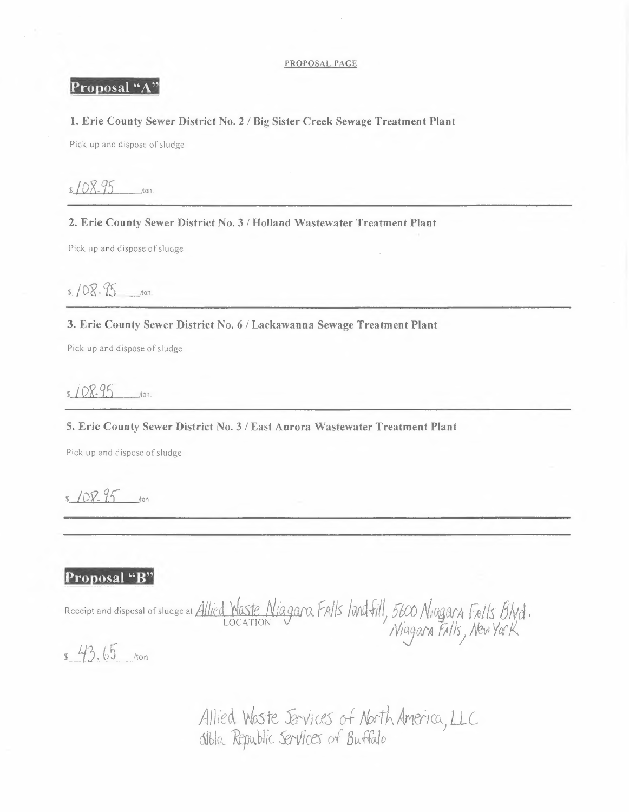#### PROPOSAL PAGE

# Proposal "A"

## 1. Erie County Sewer District No. 2 / Big Sister Creek Sewage Treatment Plant

Pick up and dispose of sludge

 $108.95$  $t$ on

2. Erie County Sewer District No. 3 / Holland Wastewater Treatment Plant

Pick up and dispose of sludge

 $108.95$  ton

## 3. Erie County Sewer District No. 6 / Lackawanna Sewage Treatment Plant

Pick up and dispose of sludge

 $5108.95$  $\Lambda$ on

5. Erie County Sewer District No. 3 / East Aurora Wastewater Treatment Plant

Pick up and dispose of sludge

 $108.95$  ton

# Proposal "B"

Receipt and disposal of sludge at Allied Waste Niagara Falls landfill, 5600 Niagara Folls Blvd.

 $$43.65$  /ton

Allied Waste Jervices of North America, LLC<br>dible Republic Services of Buffalo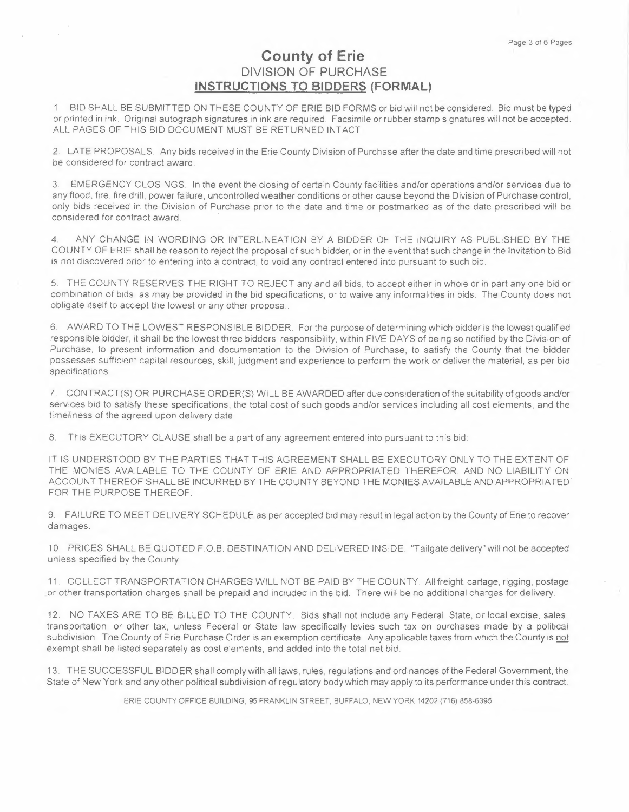# **County of Erie DIVISION OF PURCHASE INSTRUCTIONS TO BIDDERS (FORMAL)**

1. BID SHALL BE SUBMITTED ON THESE COUNTY OF ERIE BID FORMS or bid will not be considered. Bid must be typed or printed in ink. Original autograph signatures in ink are required. Facsimile or rubber stamp signatures will not be accepted. ALL PAGES OF THIS BID DOCUMENT MUST BE RETURNED INTACT.

2. LATE PROPOSALS. Any bids received in the Erie County Division of Purchase after the date and time prescribed will not be considered for contract award.

3. EMERGENCY CLOSINGS. In the event the closing of certain County facilities and/or operations and/or services due to any flood, fire, fire drill, power failure, uncontrolled weather conditions or other cause beyond the Division of Purchase control, only bids received in the Division of Purchase prior to the date and time or postmarked as of the date prescribed will be considered for contract award.

**4.** ANY CHANGE IN WORDING OR INTERLINEATION BY A BIDDER OF THE INQUIRY AS PUBLISHED BY THE COUNTY OF ERIE shall be reason to reject the proposal of such bidder, or in the event that such change in the Invitation to Bid is not discovered prior to entering into a contract, to void any contract entered into pursuant to such bid.

5. THE COUNTY RESERVES THE RIGHT TO REJECT any and all bids, to accept either in whole or in part any one bid or combination of bids, as may be provided in the bid specifications, or to waive any informalities in bids. The County does not obligate itself to accept the lowest or any other proposal

6. AWARD TO THE LOWEST RESPONSIBLE BIDDER. For the purpose of determining which bidder is the lowest qualified responsible bidder, it shall be the lowest three bidders' responsibility, within FIVE DAYS of being so notified by the Division of Purchase, to present information and documentation to the Division of Purchase, to satisfy the County that the bidder possesses sufficient capital resources, skill, judgment and experience to perform the work or deliver the material, as per bid specifications.

7. CONTRACT(S) OR PURCHASE ORDER(S) WILL BE AWARDED after due consideration of the suitability of goods and/or services bid to satisfy these specifications, the total cost of such goods and/or services including all cost elements, and the timeliness of the agreed upon delivery date.

8. This EXECUTORY CLAUSE shall be a part of any agreement entered into pursuant to this bid:

IT IS UNDERSTOOD BY THE PARTIES THAT THIS AGREEMENT SHALL BE EXECUTORY ONLY TO THE EXTENT OF THE MONIES AVAILABLE TO THE COUNTY OF ERIE AND APPROPRIATED THEREFOR, AND NO LIABILITY ON ACCOUNT THEREOF SHALL BE INCURRED BY THE COUNTY BEYOND THE MONIES AVAILABLE AND APPROPRIATED. FOR THE PURPOSE THEREOF.

9. FAILURE TO MEET DELIVERY SCHEDULE as per accepted bid may result in legal action by the County of Erie to recover damages.

1 O. PRICES SHALL BE QUOTED F.O.B. DESTINATION AND DELIVERED INSIDE. "Tailgate delivery" will not be accepted unless specified by the County

11. COLLECT TRANSPORTATION CHARGES WILL NOT BE PAID BY THE COUNTY. All freight, cartage, rigging, postage or other transportation charges shall be prepaid and included in the bid. There will be no additional charges for delivery.

12. NO TAXES ARE TO BE BILLED TO THE COUNTY. Bids shall not include any Federal, State, or local excise, sales, transportation, or other tax, unless Federal or State law specifically levies such tax on purchases made by a political subdivision. The County of Erie Purchase Order is an exemption certificate. Any applicable taxes from which the County is not exempt shall be listed separately as cost elements, and added into the total net bid.

13. THE SUCCESSFUL BIDDER shall comply with all laws, rules, regulations and ordinances of the Federal Government, the State of New York and any other political subdivision of regulatory body which may apply to its performance under this contract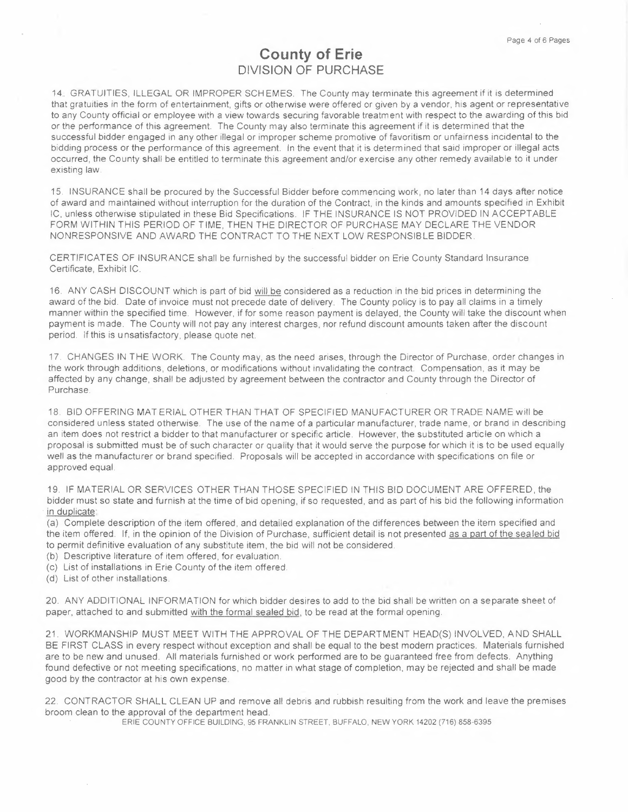# **County of Erie DIVISION OF PURCHASE**

14. GRATUITIES, ILLEGAL OR IMPROPER SCH EMES. The County may terminate this agreement if it is determined that gratuities in the form of entertainment, gifts or otherwise were offered or given by a vendor, his agent or representative to any County official or employee with a view towards securing favorable treatment with respect to the awarding of this bid or the performance of this agreement. The County may also terminate this agreement if it is determined that the successful bidder engaged in any other illegal or improper scheme promotive of favoritism or unfairness incidental to the bidding process or the performance of this agreement. In the event that it is determined that said improper or illegal acts occurred, the County shall be entitled to terminate this agreement and/or exercise any other remedy available to it under existing law.

15. INSURANCE shall be procured by the Successful Bidder before commencing work, no later than 14 days after notice of award and maintained without interruption for the duration of the Contract, in the kinds and amounts specified in Exhibit IC, unless otherwise stipulated in these Bid Specifications. IF THE INSURANCE IS NOT PROVIDED IN ACCEPT ABLE FORM WITHIN THIS PERIOD OF TIME, THEN THE DIRECTOR OF PURCHASE MAY DECLARE THE VENDOR NONRESPONSIVE AND AWARD THE CONTRACT TO THE NEXT LOW RESPONSIBLE BIDDER.

CERTIFICATES OF INSURANCE shall be furnished by the successful bidder on Erie County Standard Insurance Certificate, Exhibit IC.

16. ANY CASH DISCOUNT which is part of bid will be considered as a reduction in the bid prices in determining the award of the bid. Date of invoice must not precede date of delivery. The County policy is to pay all claims in a timely manner within the specified time. However, if for some reason payment is delayed, the County will take the discount when payment is made. The County will not pay any interest charges, nor refund discount amounts taken after the discount period. If this is unsatisfactory, please quote net.

17. CHANGES IN THE WORK. The County may, as the need arises, through the Director of Purchase, order changes in the work through additions, deletions, or modifications without invalidating the contract Compensation, as it may be affected by any change, shall be adjusted by agreement between the contractor and County through the Director of Purchase.

18. BID OFFERING MAT ERIAL OTHER THAN THAT OF SPECIFIED MANUFACTURER OR TRADE NAME will be considered unless stated otherwise. The use of the name of a particular manufacturer, trade name, or brand in describing an item does not restrict a bidder to that manufacturer or specific article. However, the substituted article on which a proposal is submitted must be of such character or quality that it would serve the purpose for which it is to be used equally well as the manufacturer or brand specified. Proposals will be accepted in accordance with specifications on file or approved equal.

19. IF MATERIAL OR SERVICES OTHER THAN THOSE SPECIFIED IN THIS BID DOCUMENT ARE OFFERED, the bidder must so state and furnish at the time of bid opening, if so requested, and as part of his bid the following information in duplicate:

(a) Complete description of the item offered, and detailed explanation of the differences between the item specified and the item offered. If, in the opinion of the Division of Purchase, sufficient detail is not presented as a part of the sea led bid to permit definitive evaluation of any substitute item, the bid will not be considered.

- (b) Descriptive literature of item offered, for evaluation.
- (c) List of installations in Erie County of the item offered.
- (d) List of other installations.

20. ANY ADDITIONAL INFORMATION for which bidder desires to add to the bid shall be written on a separate sheet of paper, attached to and submitted with the formal sealed bid, to be read at the formal opening.

21. WORKMANSHIP MUST MEET WITH THE APPROVAL OF THE DEPARTMENT HEAD(S) INVOLVED, AND SHALL BE FIRST CLASS in every respect without exception and shall be equal to the best modern practices. Materials furnished are to be new and unused. All materials furnished or work performed are to be guaranteed free from defects. Anything found defective or not meeting specifications, no matter in what stage of completion, may be rejected and shall be made good by the contractor at his own expense.

22. CONTRACTOR SHALL CLEAN UP and remove all debris and rubbish resulting from the work and leave the premises broom clean to the approval of the department head.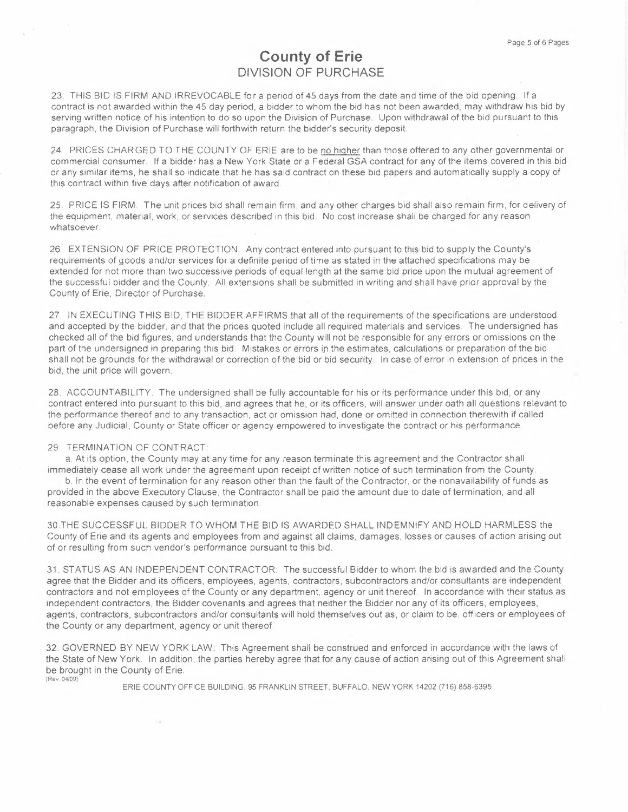# **County of Erie DIVISION OF PURCHASE**

23. THIS BID IS FIRM AND IRREVOCABLE for a period of 45 days from the date and time of the bid opening. If a contract is not awarded within the 45 day period, a bidder to whom the bid has not been awarded, may withdraw his bid by serving written notice of his intention to do so upon the Division of Purchase. Upon withdrawal of the bid pursuant to this paragraph, the Division of Purchase will forthwith return the bidder's security deposit

24. PRICES CHARGED TO THE COUNTY OF ERIE are to be no higher than those offered to any other governmental or commercial consumer. If a bidder has a New York State or a Federal GSA contract for any of the items covered in this bid or any similar items, he shall so indicate that he has said contract on these bid papers and automatically supply a copy of this contract within five days after notification of award.

25. PRICE IS FIRM. The unit prices bid shall remain firm, and any other charges bid shall also remain firm, for delivery of the equipment, material, work, or services described in this bid. No cost increase shall be charged for any reason whatsoever.

26. EXTENSION OF PRICE PROTECTION. Any contract entered into pursuant to this bid to supply the County's requirements of goods and/or services for a definite period of time as stated in the attached specifications may be extended for not more than two successive periods of equal length at the same bid price upon the mutual agreement of the successful bidder and the County. All extensions shall be submitted in writing and shall have prior approval by the County of Erie, Director of Purchase.

27. IN EXECUTING THIS BID, THE BIDDER AFFIRMS that all of the requirements of the specifications are understood and accepted by the bidder, and that the prices quoted include all required materials and services. The undersigned has checked all of the bid figures, and understands that the County will not be responsible for any errors or omissions on the part of the undersigned in preparing this bid. Mistakes or errors in the estimates, calculations or preparation of the bid shall not be grounds for the withdrawal or correction of the bid or bid security. In case of error in extension of prices in the bid, the unit price will govern.

28. ACCOUNTABILITY. The undersigned shall be fully accountable for his or its performance under this bid, or any contract entered into pursuant to this bid, and agrees that he, or its officers, will answer under oath all questions relevant to the performance thereof and to any transaction, act or omission had, done or omitted in connection therewith if called before any Judicial, County or State officer or agency empowered to investigate the contract or his performance.

#### 29. TERMINATION OF CONTRACT

a. At its option, the County may at any time for any reason terminate this agreement and the Contractor shall immediately cease all work under the agreement upon receipt of written notice of such termination from the County.

b. In the event of termination for any reason other than the fault of the Contractor, or the nonavailability of funds as provided in the above Executory Clause, the Contractor shall be paid the amount due to date of termination, and all reasonable expenses caused by such termination.

30.THE SUCCESSFUL BIDDER TO WHOM THE BID IS AWARDED SHALL INDEMNIFY AND HOLD HARMLESS the County of Erie and its agents and employees from and against all claims, damages, losses or causes of action arising out of or resulting from such vendor's performance pursuant to this bid.

31. STATUS AS AN INDEPENDENT CONTRACTOR: The successful Bidder to whom the bid is awarded and the County agree that the Bidder and its officers, employees, agents, contractors, subcontractors and/or consultants are independent contractors and not employees of the County or any department, agency or unit thereof. In accordance with their status as independent contractors, the Bidder covenants and agrees that neither the Bidder nor any of its officers, employees, agents, contractors, subcontractors and/or consultants will hold themselves out as, or claim to be, officers or employees of the County or any department, agency or unit thereof.

32. GOVERNED BY NEW YORK LAW: This Agreement shall be construed and enforced in accordance with the laws of the State of New York. In addition, the parties hereby agree that for any cause of action arising out of this Agreement shall be brought in the County of Erie. (Rev. 04/09)